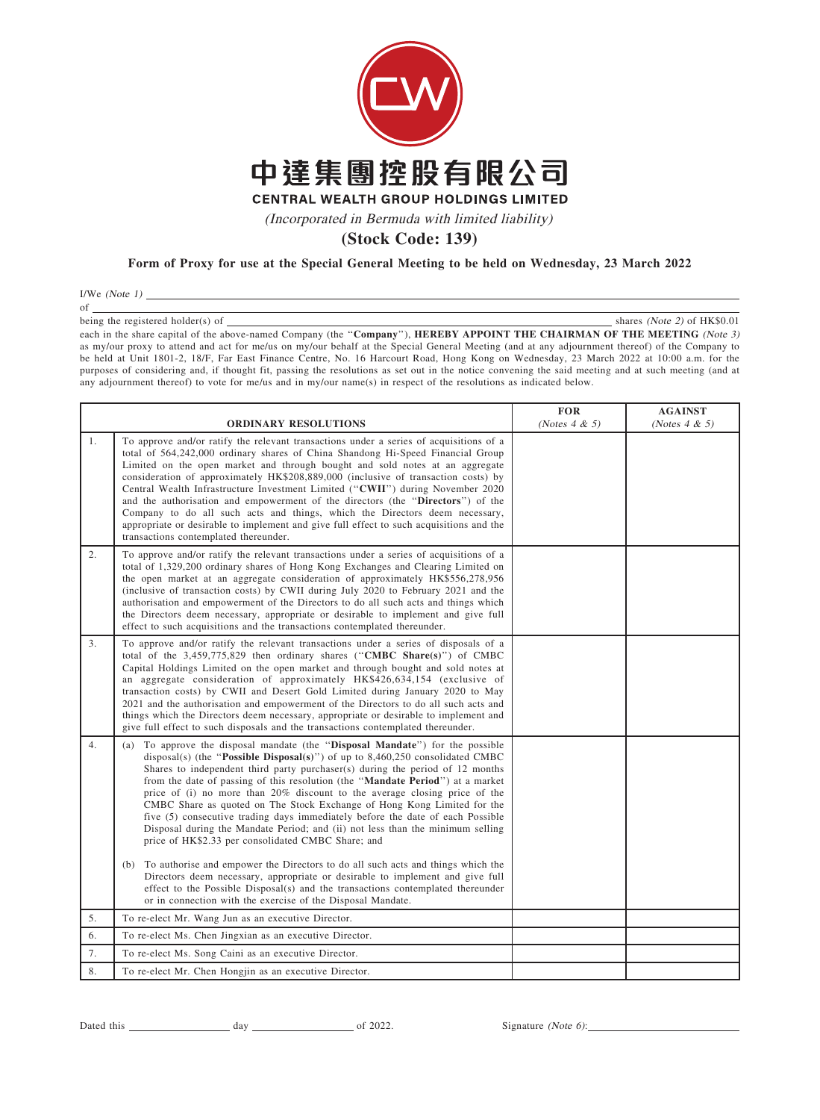

(Incorporated in Bermuda with limited liability)

**(Stock Code: 139)**

## Form of Proxy for use at the Special General Meeting to be held on Wednesday, 23 March 2022

I/We  $(Note 1)$   $\_\_$ of

being the registered holder(s) of **shares (Note 2)** of HK\$0.01 each in the share capital of the above-named Company (the "Company"), HEREBY APPOINT THE CHAIRMAN OF THE MEETING (Note 3) as my/our proxy to attend and act for me/us on my/our behalf at the Special General Meeting (and at any adjournment thereof) of the Company to be held at Unit 1801-2, 18/F, Far East Finance Centre, No. 16 Harcourt Road, Hong Kong on Wednesday, 23 March 2022 at 10:00 a.m. for the purposes of considering and, if thought fit, passing the resolutions as set out in the notice convening the said meeting and at such meeting (and at any adjournment thereof) to vote for me/us and in my/our name(s) in respect of the resolutions as indicated below.

|                | <b>ORDINARY RESOLUTIONS</b>                                                                                                                                                                                                                                                                                                                                                                                                                                                                                                                                                                                                                                                                                                             | <b>FOR</b><br>(Notes $4 & 5$ ) | <b>AGAINST</b><br>(Notes $4 & 5$ ) |
|----------------|-----------------------------------------------------------------------------------------------------------------------------------------------------------------------------------------------------------------------------------------------------------------------------------------------------------------------------------------------------------------------------------------------------------------------------------------------------------------------------------------------------------------------------------------------------------------------------------------------------------------------------------------------------------------------------------------------------------------------------------------|--------------------------------|------------------------------------|
| 1.             | To approve and/or ratify the relevant transactions under a series of acquisitions of a<br>total of 564,242,000 ordinary shares of China Shandong Hi-Speed Financial Group<br>Limited on the open market and through bought and sold notes at an aggregate<br>consideration of approximately HK\$208,889,000 (inclusive of transaction costs) by<br>Central Wealth Infrastructure Investment Limited ("CWII") during November 2020<br>and the authorisation and empowerment of the directors (the "Directors") of the<br>Company to do all such acts and things, which the Directors deem necessary,<br>appropriate or desirable to implement and give full effect to such acquisitions and the<br>transactions contemplated thereunder. |                                |                                    |
| 2.             | To approve and/or ratify the relevant transactions under a series of acquisitions of a<br>total of 1,329,200 ordinary shares of Hong Kong Exchanges and Clearing Limited on<br>the open market at an aggregate consideration of approximately HK\$556,278,956<br>(inclusive of transaction costs) by CWII during July 2020 to February 2021 and the<br>authorisation and empowerment of the Directors to do all such acts and things which<br>the Directors deem necessary, appropriate or desirable to implement and give full<br>effect to such acquisitions and the transactions contemplated thereunder.                                                                                                                            |                                |                                    |
| 3 <sub>1</sub> | To approve and/or ratify the relevant transactions under a series of disposals of a<br>total of the $3,459,775,829$ then ordinary shares ("CMBC Share(s)") of CMBC<br>Capital Holdings Limited on the open market and through bought and sold notes at<br>an aggregate consideration of approximately HK\$426,634,154 (exclusive of<br>transaction costs) by CWII and Desert Gold Limited during January 2020 to May<br>2021 and the authorisation and empowerment of the Directors to do all such acts and<br>things which the Directors deem necessary, appropriate or desirable to implement and<br>give full effect to such disposals and the transactions contemplated thereunder.                                                 |                                |                                    |
| 4.             | To approve the disposal mandate (the "Disposal Mandate") for the possible<br>(a)<br>disposal(s) (the "Possible Disposal(s)") of up to $8,460,250$ consolidated CMBC<br>Shares to independent third party purchaser(s) during the period of 12 months<br>from the date of passing of this resolution (the "Mandate Period") at a market<br>price of (i) no more than 20% discount to the average closing price of the<br>CMBC Share as quoted on The Stock Exchange of Hong Kong Limited for the<br>five (5) consecutive trading days immediately before the date of each Possible<br>Disposal during the Mandate Period; and (ii) not less than the minimum selling<br>price of HK\$2.33 per consolidated CMBC Share; and               |                                |                                    |
|                | (b) To authorise and empower the Directors to do all such acts and things which the<br>Directors deem necessary, appropriate or desirable to implement and give full<br>effect to the Possible Disposal(s) and the transactions contemplated thereunder<br>or in connection with the exercise of the Disposal Mandate.                                                                                                                                                                                                                                                                                                                                                                                                                  |                                |                                    |
| 5.             | To re-elect Mr. Wang Jun as an executive Director.                                                                                                                                                                                                                                                                                                                                                                                                                                                                                                                                                                                                                                                                                      |                                |                                    |
| 6.             | To re-elect Ms. Chen Jingxian as an executive Director.                                                                                                                                                                                                                                                                                                                                                                                                                                                                                                                                                                                                                                                                                 |                                |                                    |
| 7.             | To re-elect Ms. Song Caini as an executive Director.                                                                                                                                                                                                                                                                                                                                                                                                                                                                                                                                                                                                                                                                                    |                                |                                    |
| 8.             | To re-elect Mr. Chen Hongjin as an executive Director.                                                                                                                                                                                                                                                                                                                                                                                                                                                                                                                                                                                                                                                                                  |                                |                                    |

Dated this day of 2022. Signature (Note 6):